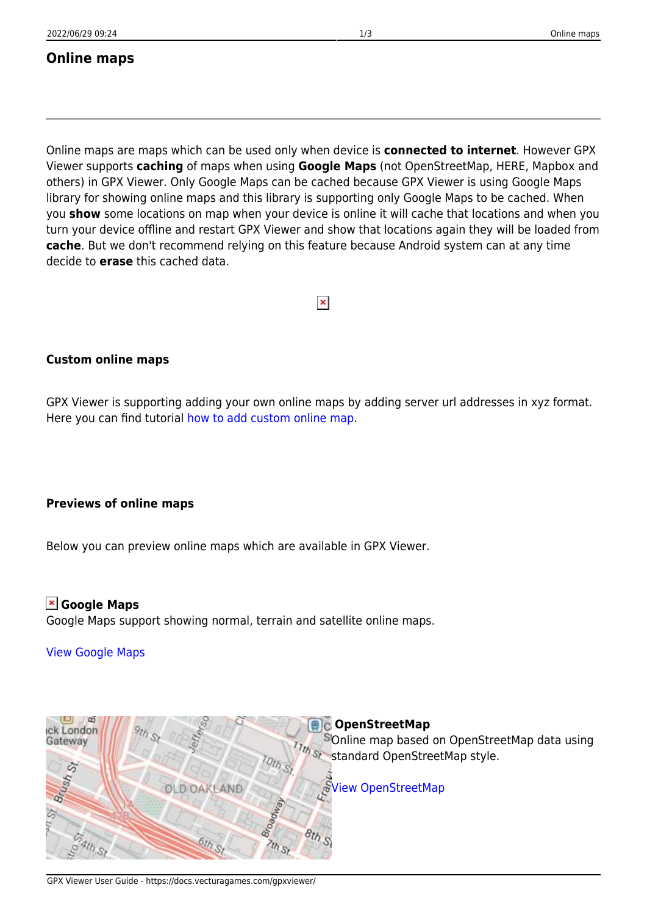### **Online maps**

Online maps are maps which can be used only when device is **connected to internet**. However GPX Viewer supports **caching** of maps when using **Google Maps** (not OpenStreetMap, HERE, Mapbox and others) in GPX Viewer. Only Google Maps can be cached because GPX Viewer is using Google Maps library for showing online maps and this library is supporting only Google Maps to be cached. When you **show** some locations on map when your device is online it will cache that locations and when you turn your device offline and restart GPX Viewer and show that locations again they will be loaded from **cache**. But we don't recommend relying on this feature because Android system can at any time decide to **erase** this cached data.

# $\pmb{\times}$

#### **Custom online maps**

GPX Viewer is supporting adding your own online maps by adding server url addresses in xyz format. Here you can find tutorial [how to add custom online map.](https://docs.vecturagames.com/gpxviewer/doku.php?id=docs:faq:how_to:add_custom_online_map)

#### **Previews of online maps**

Below you can preview online maps which are available in GPX Viewer.

**Google Maps** Google Maps support showing normal, terrain and satellite online maps.

[View Google Maps](https://maps.google.com)

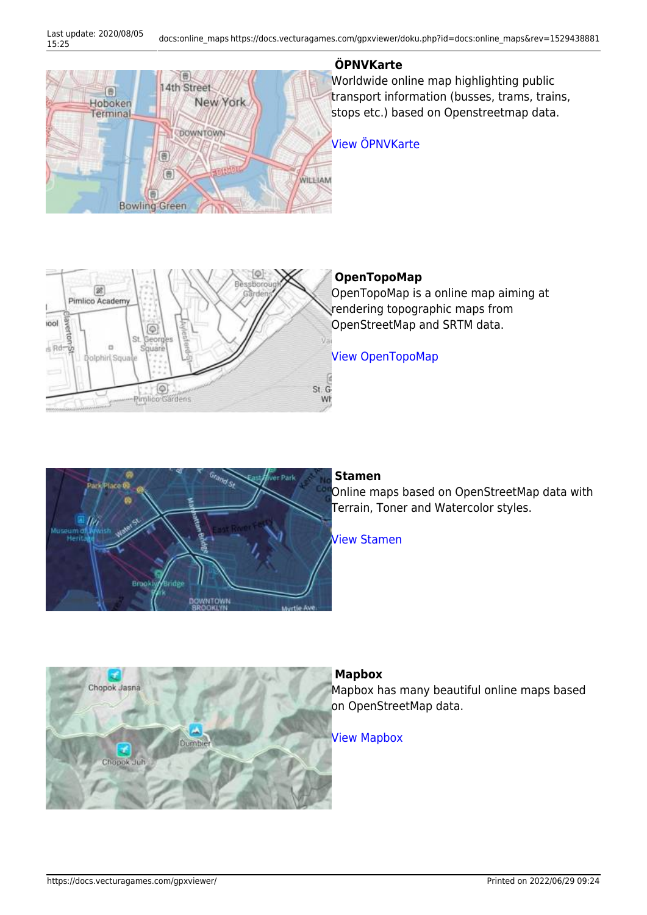

#### **ÖPNVKarte**

Worldwide online map highlighting public transport information (busses, trams, trains, stops etc.) based on Openstreetmap data.

#### [View ÖPNVKarte](https://www.öpnvkarte.de)



#### **OpenTopoMap**

OpenTopoMap is a online map aiming at rendering topographic maps from OpenStreetMap and SRTM data.

[View OpenTopoMap](https://opentopomap.org)



#### **Stamen**

Online maps based on OpenStreetMap data with Terrain, Toner and Watercolor styles.

[View Stamen](http://maps.stamen.com)



#### **Mapbox**

Mapbox has many beautiful online maps based on OpenStreetMap data.

[View Mapbox](https://www.mapbox.com/maps)